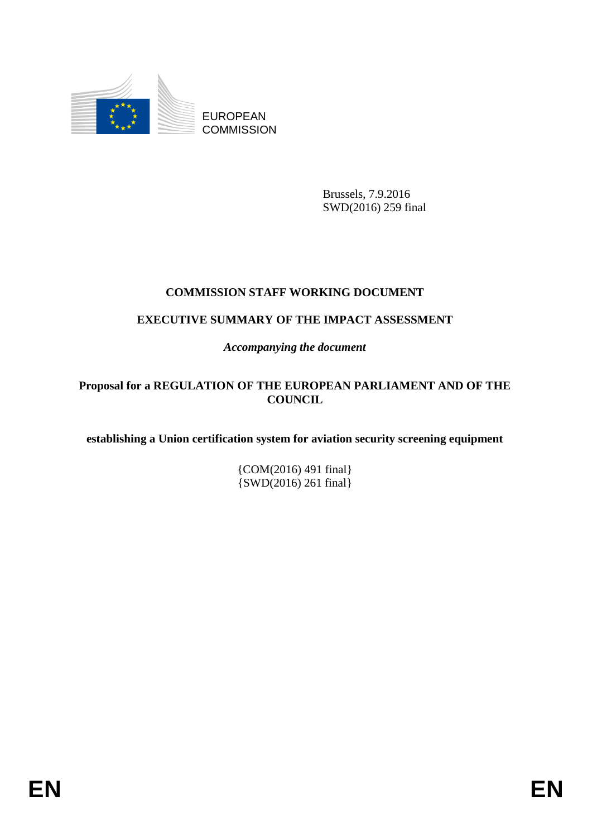

EUROPEAN **COMMISSION** 

> Brussels, 7.9.2016 SWD(2016) 259 final

# **COMMISSION STAFF WORKING DOCUMENT**

# **EXECUTIVE SUMMARY OF THE IMPACT ASSESSMENT**

*Accompanying the document*

## **Proposal for a REGULATION OF THE EUROPEAN PARLIAMENT AND OF THE COUNCIL**

**establishing a Union certification system for aviation security screening equipment**

{COM(2016) 491 final} {SWD(2016) 261 final}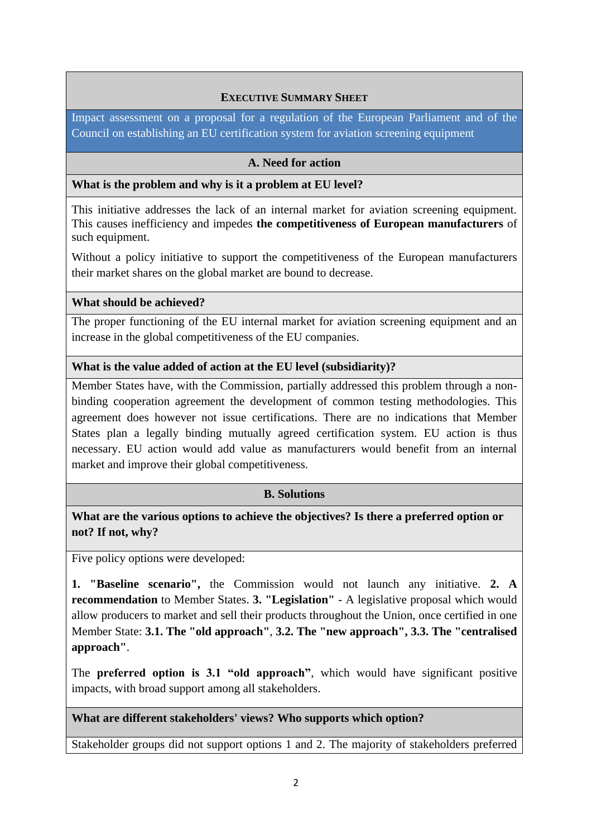## **EXECUTIVE SUMMARY SHEET**

Impact assessment on a proposal for a regulation of the European Parliament and of the Council on establishing an EU certification system for aviation screening equipment

#### **A. Need for action**

#### **What is the problem and why is it a problem at EU level?**

This initiative addresses the lack of an internal market for aviation screening equipment. This causes inefficiency and impedes **the competitiveness of European manufacturers** of such equipment.

Without a policy initiative to support the competitiveness of the European manufacturers their market shares on the global market are bound to decrease.

#### **What should be achieved?**

The proper functioning of the EU internal market for aviation screening equipment and an increase in the global competitiveness of the EU companies.

#### **What is the value added of action at the EU level (subsidiarity)?**

Member States have, with the Commission, partially addressed this problem through a nonbinding cooperation agreement the development of common testing methodologies. This agreement does however not issue certifications. There are no indications that Member States plan a legally binding mutually agreed certification system. EU action is thus necessary. EU action would add value as manufacturers would benefit from an internal market and improve their global competitiveness.

## **B. Solutions**

**What are the various options to achieve the objectives? Is there a preferred option or not? If not, why?**

Five policy options were developed:

**1. "Baseline scenario",** the Commission would not launch any initiative. **2. A recommendation** to Member States. **3. "Legislation"** - A legislative proposal which would allow producers to market and sell their products throughout the Union, once certified in one Member State: **3.1. The "old approach"**, **3.2. The "new approach", 3.3. The "centralised approach"**.

The **preferred option is 3.1 "old approach"**, which would have significant positive impacts, with broad support among all stakeholders.

## **What are different stakeholders' views? Who supports which option?**

Stakeholder groups did not support options 1 and 2. The majority of stakeholders preferred